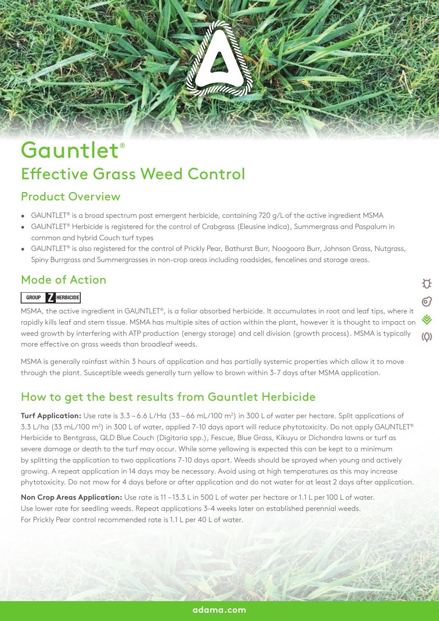

## **Gauntlet®** Effective Grass Weed Control

### Product Overview

- GAUNTLET*®* is a broad spectrum post emergent herbicide, containing 720 g/L of the active ingredient MSMA
- GAUNTLET*®* Herbicide is registered for the control of Crabgrass (Eleusine indica), Summergrass and Paspalum in common and hybrid Couch turf types
- GAUNTLET*®* is also registered for the control of Prickly Pear, Bathurst Burr, Noogoora Burr, Johnson Grass, Nutgrass, Spiny Burrgrass and Summergrasses in non-crop areas including roadsides, fencelines and storage areas.

### Mode of Action

#### **GROUP Z HERBICIDE**

MSMA, the active ingredient in GAUNTLET*®*, is a foliar absorbed herbicide. It accumulates in root and leaf tips, where it rapidly kills leaf and stem tissue. MSMA has multiple sites of action within the plant, however it is thought to impact on weed growth by interfering with ATP production (energy storage) and cell division (growth process). MSMA is typically more effective on grass weeds than broadleaf weeds.

ኯ

෨

 $\mathbb V$ 

 $\circ$ 

MSMA is generally rainfast within 3 hours of application and has partially systemic properties which allow it to move through the plant. Susceptible weeds generally turn yellow to brown within 3-7 days after MSMA application.

### How to get the best results from Gauntlet Herbicide

**Turf Application:** Use rate is 3.3 – 6.6 L/Ha (33 – 66 mL/100 m2 ) in 300 L of water per hectare. Split applications of 3.3 L/ha (33 mL/100 m2 ) in 300 L of water, applied 7-10 days apart will reduce phytotoxicity. Do not apply GAUNTLET*®* Herbicide to Bentgrass, QLD Blue Couch (Digitaria spp.), Fescue, Blue Grass, Kikuyu or Dichondra lawns or turf as severe damage or death to the turf may occur. While some yellowing is expected this can be kept to a minimum by splitting the application to two applications 7-10 days apart. Weeds should be sprayed when young and actively growing. A repeat application in 14 days may be necessary. Avoid using at high temperatures as this may increase phytotoxicity. Do not mow for 4 days before or after application and do not water for at least 2 days after application.

**Non Crop Areas Application:** Use rate is 11 – 13.3 L in 500 L of water per hectare or 1.1 L per 100 L of water. Use lower rate for seedling weeds. Repeat applications 3-4 weeks later on established perennial weeds. For Prickly Pear control recommended rate is 1.1 L per 40 L of water.